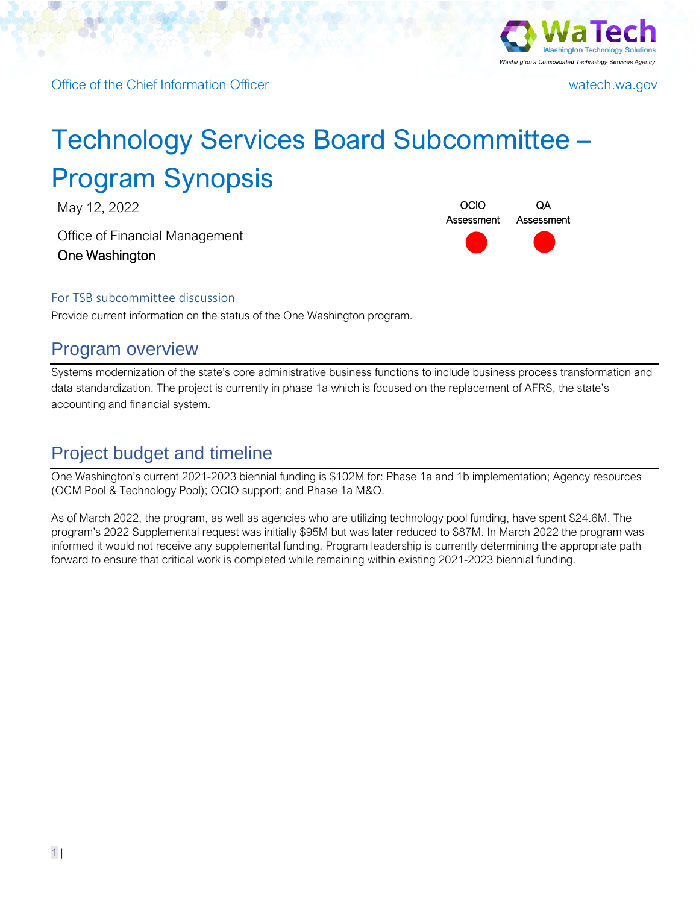



# Technology Services Board Subcommittee – Program Synopsis

May 12, 2022 **OCIO** 

Office of Financial Management One Washington



#### For TSB subcommittee discussion

Provide current information on the status of the One Washington program.

#### Program overview

Systems modernization of the state's core administrative business functions to include business process transformation and data standardization. The project is currently in phase 1a which is focused on the replacement of AFRS, the state's accounting and financial system.

## Project budget and timeline

One Washington's current 2021-2023 biennial funding is \$102M for: Phase 1a and 1b implementation; Agency resources (OCM Pool & Technology Pool); OCIO support; and Phase 1a M&O.

As of March 2022, the program, as well as agencies who are utilizing technology pool funding, have spent \$24.6M. The program's 2022 Supplemental request was initially \$95M but was later reduced to \$87M. In March 2022 the program was informed it would not receive any supplemental funding. Program leadership is currently determining the appropriate path forward to ensure that critical work is completed while remaining within existing 2021-2023 biennial funding.